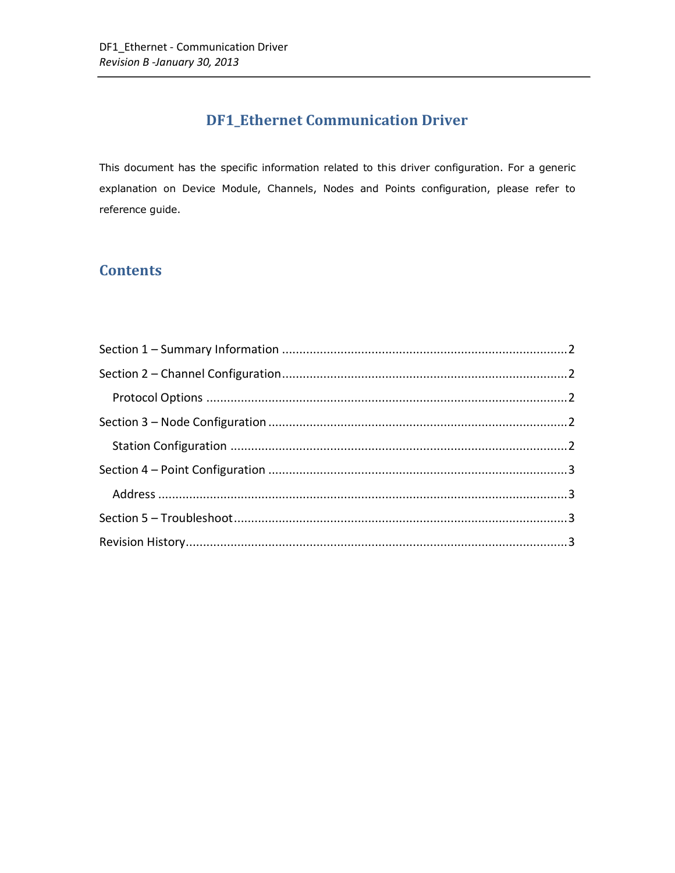# **DF1\_Ethernet Communication Driver**

This document has the specific information related to this driver configuration. For a generic explanation on Device Module, Channels, Nodes and Points configuration, please refer to reference guide.

# **Contents**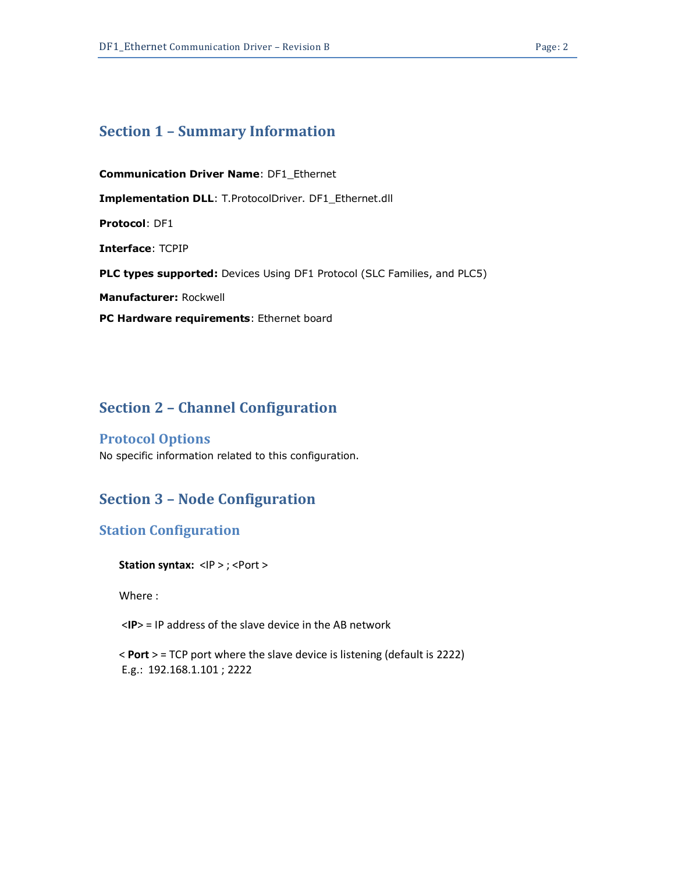### <span id="page-1-0"></span>**Section 1 – Summary Information**

**Communication Driver Name**: DF1\_Ethernet **Implementation DLL**: T.ProtocolDriver. DF1\_Ethernet.dll **Protocol**: DF1 **Interface**: TCPIP **PLC types supported:** Devices Using DF1 Protocol (SLC Families, and PLC5) **Manufacturer:** Rockwell **PC Hardware requirements**: Ethernet board

## <span id="page-1-1"></span>**Section 2 – Channel Configuration**

#### <span id="page-1-2"></span>**Protocol Options**

No specific information related to this configuration.

## <span id="page-1-3"></span>**Section 3 – Node Configuration**

#### <span id="page-1-4"></span>**Station Configuration**

**Station syntax:** <IP > ; <Port >

Where :

<**IP**> = IP address of the slave device in the AB network

< **Port** > = TCP port where the slave device is listening (default is 2222) E.g.: 192.168.1.101 ; 2222